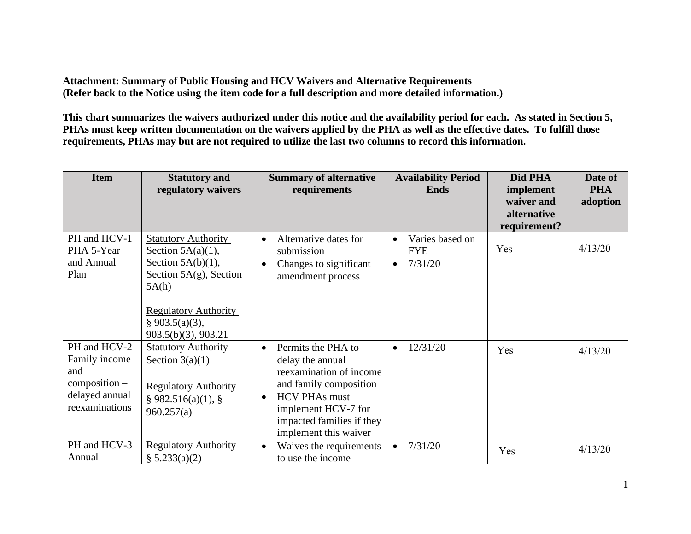**Attachment: Summary of Public Housing and HCV Waivers and Alternative Requirements (Refer back to the Notice using the item code for a full description and more detailed information.)** 

**This chart summarizes the waivers authorized under this notice and the availability period for each. As stated in Section 5, PHAs must keep written documentation on the waivers applied by the PHA as well as the effective dates. To fulfill those requirements, PHAs may but are not required to utilize the last two columns to record this information.** 

| <b>Item</b>                                                                                 | <b>Statutory and</b><br>regulatory waivers                                                                                                                                               | <b>Summary of alternative</b><br>requirements                                                                                                                                                                              | <b>Availability Period</b><br><b>Ends</b>                          | Did PHA<br>implement                      | Date of<br><b>PHA</b> |
|---------------------------------------------------------------------------------------------|------------------------------------------------------------------------------------------------------------------------------------------------------------------------------------------|----------------------------------------------------------------------------------------------------------------------------------------------------------------------------------------------------------------------------|--------------------------------------------------------------------|-------------------------------------------|-----------------------|
|                                                                                             |                                                                                                                                                                                          |                                                                                                                                                                                                                            |                                                                    | waiver and<br>alternative<br>requirement? | adoption              |
| PH and HCV-1<br>PHA 5-Year<br>and Annual<br>Plan                                            | <b>Statutory Authority</b><br>Section $5A(a)(1)$ ,<br>Section $5A(b)(1)$ ,<br>Section $5A(g)$ , Section<br>5A(h)<br><b>Regulatory Authority</b><br>§ 903.5(a)(3),<br>903.5(b)(3), 903.21 | Alternative dates for<br>$\bullet$<br>submission<br>Changes to significant<br>$\bullet$<br>amendment process                                                                                                               | Varies based on<br>$\bullet$<br><b>FYE</b><br>7/31/20<br>$\bullet$ | Yes                                       | 4/13/20               |
| PH and HCV-2<br>Family income<br>and<br>$composition -$<br>delayed annual<br>reexaminations | <b>Statutory Authority</b><br>Section $3(a)(1)$<br><b>Regulatory Authority</b><br>§ 982.516(a)(1), §<br>960.257(a)                                                                       | Permits the PHA to<br>$\bullet$<br>delay the annual<br>reexamination of income<br>and family composition<br><b>HCV PHAs must</b><br>$\bullet$<br>implement HCV-7 for<br>impacted families if they<br>implement this waiver | 12/31/20<br>$\bullet$                                              | Yes                                       | 4/13/20               |
| PH and HCV-3<br>Annual                                                                      | <b>Regulatory Authority</b><br>$\S 5.233(a)(2)$                                                                                                                                          | Waives the requirements<br>$\bullet$<br>to use the income                                                                                                                                                                  | 7/31/20<br>$\bullet$                                               | Yes                                       | 4/13/20               |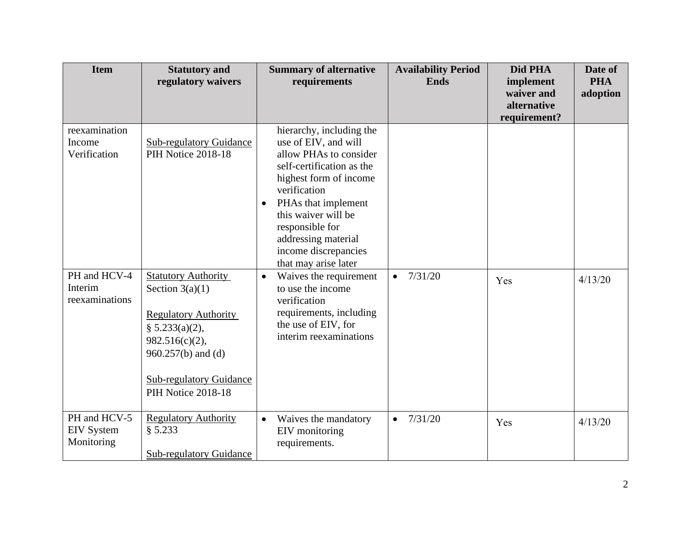| <b>Item</b>                                     | <b>Statutory and</b><br>regulatory waivers                                                                                                                                                          | <b>Summary of alternative</b><br>requirements                                                                                                                                                                                                                                                          | <b>Availability Period</b><br><b>Ends</b> | Did PHA<br>implement                      | Date of<br><b>PHA</b> |
|-------------------------------------------------|-----------------------------------------------------------------------------------------------------------------------------------------------------------------------------------------------------|--------------------------------------------------------------------------------------------------------------------------------------------------------------------------------------------------------------------------------------------------------------------------------------------------------|-------------------------------------------|-------------------------------------------|-----------------------|
|                                                 |                                                                                                                                                                                                     |                                                                                                                                                                                                                                                                                                        |                                           | waiver and<br>alternative<br>requirement? | adoption              |
| reexamination<br>Income<br>Verification         | <b>Sub-regulatory Guidance</b><br>PIH Notice 2018-18                                                                                                                                                | hierarchy, including the<br>use of EIV, and will<br>allow PHAs to consider<br>self-certification as the<br>highest form of income<br>verification<br>PHAs that implement<br>$\bullet$<br>this waiver will be<br>responsible for<br>addressing material<br>income discrepancies<br>that may arise later |                                           |                                           |                       |
| PH and HCV-4<br>Interim<br>reexaminations       | <b>Statutory Authority</b><br>Section $3(a)(1)$<br><b>Regulatory Authority</b><br>§ 5.233(a)(2),<br>$982.516(c)(2)$ ,<br>960.257(b) and (d)<br><b>Sub-regulatory Guidance</b><br>PIH Notice 2018-18 | Waives the requirement<br>$\bullet$<br>to use the income<br>verification<br>requirements, including<br>the use of EIV, for<br>interim reexaminations                                                                                                                                                   | 7/31/20<br>$\bullet$                      | Yes                                       | 4/13/20               |
| PH and HCV-5<br><b>EIV</b> System<br>Monitoring | <b>Regulatory Authority</b><br>§ 5.233<br><b>Sub-regulatory Guidance</b>                                                                                                                            | Waives the mandatory<br>$\bullet$<br>EIV monitoring<br>requirements.                                                                                                                                                                                                                                   | 7/31/20                                   | Yes                                       | 4/13/20               |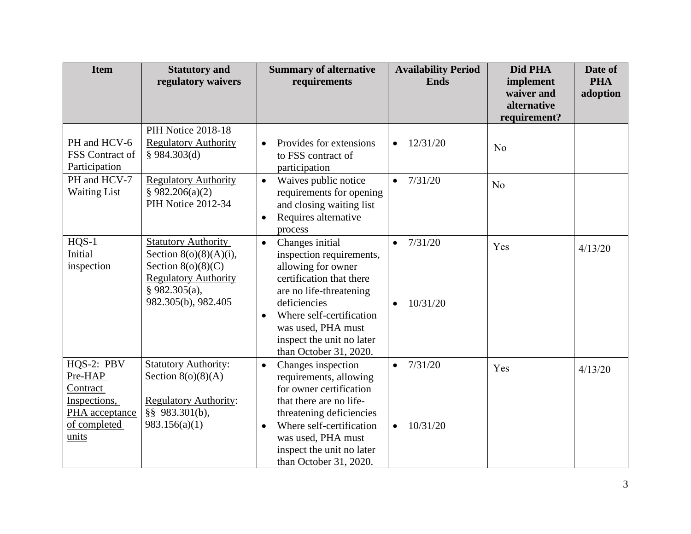| <b>Item</b>                                             | <b>Statutory and</b><br>regulatory waivers                                                                                                               | <b>Summary of alternative</b><br>requirements                                                                                                                                                  | <b>Availability Period</b><br><b>Ends</b> | Did PHA<br>implement                      | Date of<br><b>PHA</b> |
|---------------------------------------------------------|----------------------------------------------------------------------------------------------------------------------------------------------------------|------------------------------------------------------------------------------------------------------------------------------------------------------------------------------------------------|-------------------------------------------|-------------------------------------------|-----------------------|
|                                                         |                                                                                                                                                          |                                                                                                                                                                                                |                                           | waiver and<br>alternative<br>requirement? | adoption              |
|                                                         | PIH Notice 2018-18                                                                                                                                       |                                                                                                                                                                                                |                                           |                                           |                       |
| PH and HCV-6<br>FSS Contract of<br>Participation        | <b>Regulatory Authority</b><br>§ 984.303(d)                                                                                                              | Provides for extensions<br>$\bullet$<br>to FSS contract of<br>participation                                                                                                                    | 12/31/20<br>$\bullet$                     | No                                        |                       |
| PH and HCV-7<br><b>Waiting List</b>                     | <b>Regulatory Authority</b><br>§ 982.206(a)(2)<br>PIH Notice 2012-34                                                                                     | Waives public notice<br>$\bullet$<br>requirements for opening<br>and closing waiting list<br>Requires alternative<br>$\bullet$<br>process                                                      | 7/31/20<br>$\bullet$                      | N <sub>o</sub>                            |                       |
| $HQS-1$<br>Initial<br>inspection                        | <b>Statutory Authority</b><br>Section $8(0)(8)(A)(i)$ ,<br>Section $8(o)(8)(C)$<br><b>Regulatory Authority</b><br>$§$ 982.305(a),<br>982.305(b), 982.405 | Changes initial<br>$\bullet$<br>inspection requirements,<br>allowing for owner<br>certification that there<br>are no life-threatening<br>deficiencies<br>Where self-certification<br>$\bullet$ | 7/31/20<br>10/31/20<br>$\bullet$          | Yes                                       | 4/13/20               |
|                                                         |                                                                                                                                                          | was used, PHA must<br>inspect the unit no later<br>than October 31, 2020.                                                                                                                      |                                           |                                           |                       |
| HQS-2: PBV<br>Pre-HAP<br>Contract                       | <b>Statutory Authority:</b><br>Section $8(o)(8)(A)$                                                                                                      | Changes inspection<br>$\bullet$<br>requirements, allowing<br>for owner certification                                                                                                           | 7/31/20<br>$\bullet$                      | Yes                                       | 4/13/20               |
| Inspections,<br>PHA acceptance<br>of completed<br>units | <b>Regulatory Authority:</b><br>§§ 983.301(b),<br>983.156(a)(1)                                                                                          | that there are no life-<br>threatening deficiencies<br>Where self-certification<br>$\bullet$<br>was used, PHA must<br>inspect the unit no later                                                | 10/31/20<br>$\bullet$                     |                                           |                       |
|                                                         |                                                                                                                                                          | than October 31, 2020.                                                                                                                                                                         |                                           |                                           |                       |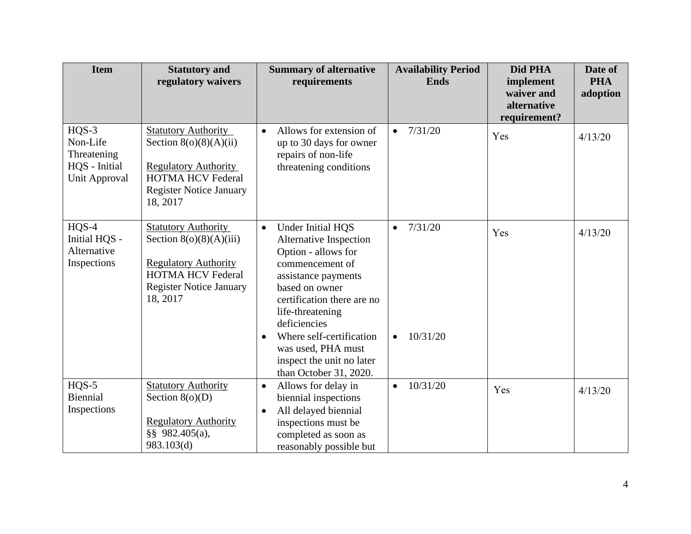| <b>Item</b>                                                          | <b>Statutory and</b><br>regulatory waivers                                                                                                                       | <b>Summary of alternative</b><br>requirements                                                                                                                                                                                                                                                                                              | <b>Availability Period</b><br><b>Ends</b> | Did PHA<br>implement<br>waiver and<br>alternative<br>requirement? | Date of<br><b>PHA</b><br>adoption |
|----------------------------------------------------------------------|------------------------------------------------------------------------------------------------------------------------------------------------------------------|--------------------------------------------------------------------------------------------------------------------------------------------------------------------------------------------------------------------------------------------------------------------------------------------------------------------------------------------|-------------------------------------------|-------------------------------------------------------------------|-----------------------------------|
| $HQS-3$<br>Non-Life<br>Threatening<br>HQS - Initial<br>Unit Approval | <b>Statutory Authority</b><br>Section $8(o)(8)(A)(ii)$<br><b>Regulatory Authority</b><br><b>HOTMA HCV Federal</b><br><b>Register Notice January</b><br>18, 2017  | Allows for extension of<br>$\bullet$<br>up to 30 days for owner<br>repairs of non-life<br>threatening conditions                                                                                                                                                                                                                           | 7/31/20                                   | Yes                                                               | 4/13/20                           |
| $HQS-4$<br>Initial HQS -<br>Alternative<br>Inspections               | <b>Statutory Authority</b><br>Section $8(0)(8)(A)(iii)$<br><b>Regulatory Authority</b><br><b>HOTMA HCV Federal</b><br><b>Register Notice January</b><br>18, 2017 | <b>Under Initial HQS</b><br>$\bullet$<br>Alternative Inspection<br>Option - allows for<br>commencement of<br>assistance payments<br>based on owner<br>certification there are no<br>life-threatening<br>deficiencies<br>Where self-certification<br>$\bullet$<br>was used, PHA must<br>inspect the unit no later<br>than October 31, 2020. | 7/31/20<br>10/31/20                       | Yes                                                               | 4/13/20                           |
| $HQS-5$<br>Biennial<br>Inspections                                   | <b>Statutory Authority</b><br>Section $8(o)(D)$<br><b>Regulatory Authority</b><br>§§ 982.405(a),<br>983.103(d)                                                   | Allows for delay in<br>$\bullet$<br>biennial inspections<br>All delayed biennial<br>$\bullet$<br>inspections must be<br>completed as soon as<br>reasonably possible but                                                                                                                                                                    | 10/31/20<br>$\bullet$                     | Yes                                                               | 4/13/20                           |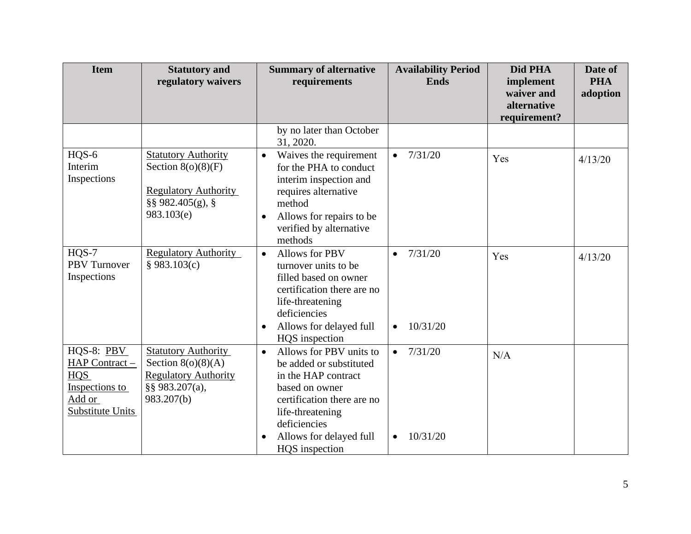| <b>Item</b>                                                                                | <b>Statutory and</b><br>regulatory waivers                                                                          | <b>Summary of alternative</b><br>requirements                                                                                                                                                                                        | <b>Availability Period</b><br><b>Ends</b>     | Did PHA<br>implement<br>waiver and | Date of<br><b>PHA</b><br>adoption |
|--------------------------------------------------------------------------------------------|---------------------------------------------------------------------------------------------------------------------|--------------------------------------------------------------------------------------------------------------------------------------------------------------------------------------------------------------------------------------|-----------------------------------------------|------------------------------------|-----------------------------------|
|                                                                                            |                                                                                                                     |                                                                                                                                                                                                                                      |                                               | alternative<br>requirement?        |                                   |
|                                                                                            |                                                                                                                     | by no later than October<br>31, 2020.                                                                                                                                                                                                |                                               |                                    |                                   |
| HQS-6<br>Interim<br>Inspections                                                            | <b>Statutory Authority</b><br>Section $8(o)(8)(F)$<br><b>Regulatory Authority</b><br>§§ 982.405(g), §<br>983.103(e) | Waives the requirement<br>$\bullet$<br>for the PHA to conduct<br>interim inspection and<br>requires alternative<br>method<br>Allows for repairs to be<br>$\bullet$<br>verified by alternative<br>methods                             | 7/31/20<br>$\bullet$                          | Yes                                | 4/13/20                           |
| $HOS-7$<br><b>PBV</b> Turnover<br>Inspections                                              | <b>Regulatory Authority</b><br>§ 983.103(c)                                                                         | <b>Allows for PBV</b><br>$\bullet$<br>turnover units to be<br>filled based on owner<br>certification there are no<br>life-threatening<br>deficiencies<br>Allows for delayed full<br>$\bullet$<br>HQS inspection                      | 7/31/20<br>$\bullet$<br>10/31/20<br>$\bullet$ | Yes                                | 4/13/20                           |
| HQS-8: PBV<br>HAP Contract -<br><b>HQS</b><br>Inspections to<br>Add or<br>Substitute Units | <b>Statutory Authority</b><br>Section $8(o)(8)(A)$<br><b>Regulatory Authority</b><br>§§ 983.207(a),<br>983.207(b)   | Allows for PBV units to<br>$\bullet$<br>be added or substituted<br>in the HAP contract<br>based on owner<br>certification there are no<br>life-threatening<br>deficiencies<br>Allows for delayed full<br>$\bullet$<br>HQS inspection | 7/31/20<br>$\bullet$<br>10/31/20<br>$\bullet$ | N/A                                |                                   |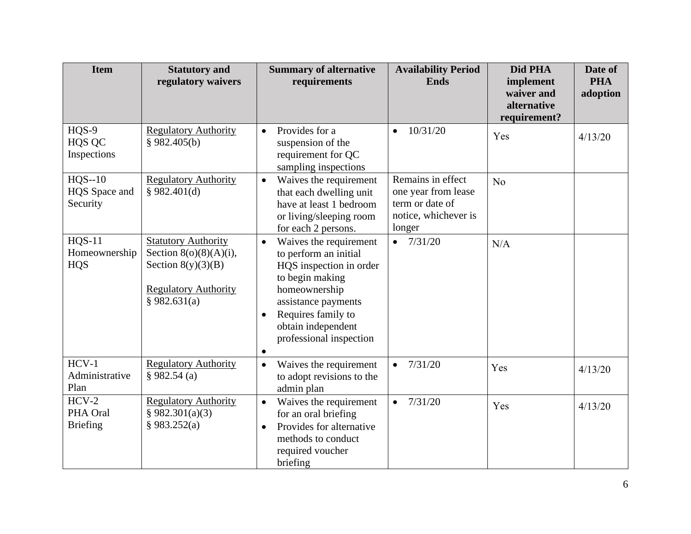| <b>Item</b>                             | <b>Statutory and</b><br>regulatory waivers                                                                                     | <b>Summary of alternative</b><br>requirements                                                                                                                                                                                                       | <b>Availability Period</b><br><b>Ends</b>                                                     | Did PHA<br>implement<br>waiver and<br>alternative<br>requirement? | Date of<br><b>PHA</b><br>adoption |
|-----------------------------------------|--------------------------------------------------------------------------------------------------------------------------------|-----------------------------------------------------------------------------------------------------------------------------------------------------------------------------------------------------------------------------------------------------|-----------------------------------------------------------------------------------------------|-------------------------------------------------------------------|-----------------------------------|
| $HQS-9$<br><b>HQS QC</b><br>Inspections | <b>Regulatory Authority</b><br>§ 982.405(b)                                                                                    | Provides for a<br>$\bullet$<br>suspension of the<br>requirement for QC<br>sampling inspections                                                                                                                                                      | 10/31/20<br>$\bullet$                                                                         | Yes                                                               | 4/13/20                           |
| $HQS-10$<br>HQS Space and<br>Security   | <b>Regulatory Authority</b><br>\$982.401(d)                                                                                    | Waives the requirement<br>$\bullet$<br>that each dwelling unit<br>have at least 1 bedroom<br>or living/sleeping room<br>for each 2 persons.                                                                                                         | Remains in effect<br>one year from lease<br>term or date of<br>notice, whichever is<br>longer | No                                                                |                                   |
| $HQS-11$<br>Homeownership<br><b>HQS</b> | <b>Statutory Authority</b><br>Section $8(0)(8)(A)(i)$ ,<br>Section $8(y)(3)(B)$<br><b>Regulatory Authority</b><br>§ 982.631(a) | Waives the requirement<br>$\bullet$<br>to perform an initial<br>HQS inspection in order<br>to begin making<br>homeownership<br>assistance payments<br>Requires family to<br>$\bullet$<br>obtain independent<br>professional inspection<br>$\bullet$ | $\bullet$ 7/31/20                                                                             | N/A                                                               |                                   |
| $HCV-1$<br>Administrative<br>Plan       | <b>Regulatory Authority</b><br>§ 982.54(a)                                                                                     | Waives the requirement<br>$\bullet$<br>to adopt revisions to the<br>admin plan                                                                                                                                                                      | 7/31/20<br>$\bullet$                                                                          | Yes                                                               | 4/13/20                           |
| $HCV-2$<br>PHA Oral<br><b>Briefing</b>  | <b>Regulatory Authority</b><br>§ 982.301(a)(3)<br>§ 983.252(a)                                                                 | Waives the requirement<br>$\bullet$<br>for an oral briefing<br>Provides for alternative<br>$\bullet$<br>methods to conduct<br>required voucher<br>briefing                                                                                          | 7/31/20<br>$\bullet$                                                                          | Yes                                                               | 4/13/20                           |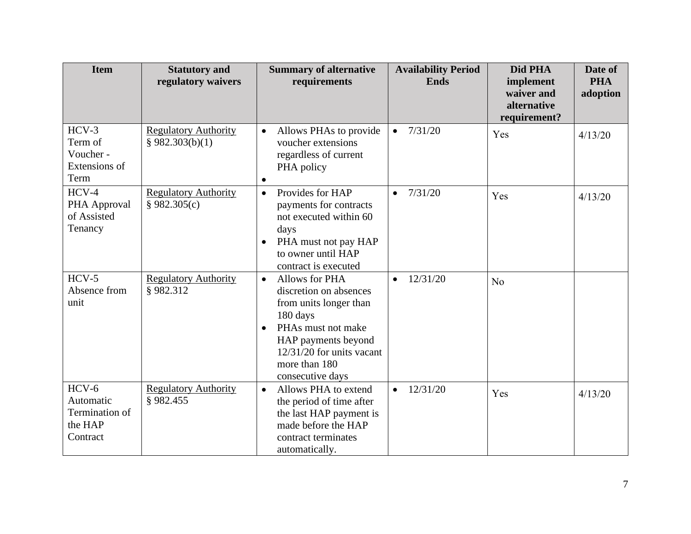| <b>Item</b>                                                   | <b>Statutory and</b><br>regulatory waivers     | <b>Summary of alternative</b><br>requirements                                                                                                                                                                             | <b>Availability Period</b><br><b>Ends</b> | Did PHA<br>implement<br>waiver and<br>alternative<br>requirement? | Date of<br><b>PHA</b><br>adoption |
|---------------------------------------------------------------|------------------------------------------------|---------------------------------------------------------------------------------------------------------------------------------------------------------------------------------------------------------------------------|-------------------------------------------|-------------------------------------------------------------------|-----------------------------------|
| $HCV-3$<br>Term of<br>Voucher -<br>Extensions of<br>Term      | <b>Regulatory Authority</b><br>\$982.303(b)(1) | Allows PHAs to provide<br>$\bullet$<br>voucher extensions<br>regardless of current<br>PHA policy<br>$\bullet$                                                                                                             | 7/31/20<br>$\bullet$                      | Yes                                                               | 4/13/20                           |
| $HCV-4$<br>PHA Approval<br>of Assisted<br>Tenancy             | <b>Regulatory Authority</b><br>§ 982.305(c)    | Provides for HAP<br>$\bullet$<br>payments for contracts<br>not executed within 60<br>days<br>PHA must not pay HAP<br>$\bullet$<br>to owner until HAP<br>contract is executed                                              | 7/31/20<br>$\bullet$                      | Yes                                                               | 4/13/20                           |
| $HCV-5$<br>Absence from<br>unit                               | <b>Regulatory Authority</b><br>§982.312        | Allows for PHA<br>$\bullet$<br>discretion on absences<br>from units longer than<br>180 days<br>PHAs must not make<br>$\bullet$<br>HAP payments beyond<br>$12/31/20$ for units vacant<br>more than 180<br>consecutive days | 12/31/20                                  | N <sub>o</sub>                                                    |                                   |
| $HCV-6$<br>Automatic<br>Termination of<br>the HAP<br>Contract | <b>Regulatory Authority</b><br>§982.455        | Allows PHA to extend<br>$\bullet$<br>the period of time after<br>the last HAP payment is<br>made before the HAP<br>contract terminates<br>automatically.                                                                  | 12/31/20<br>$\bullet$                     | Yes                                                               | 4/13/20                           |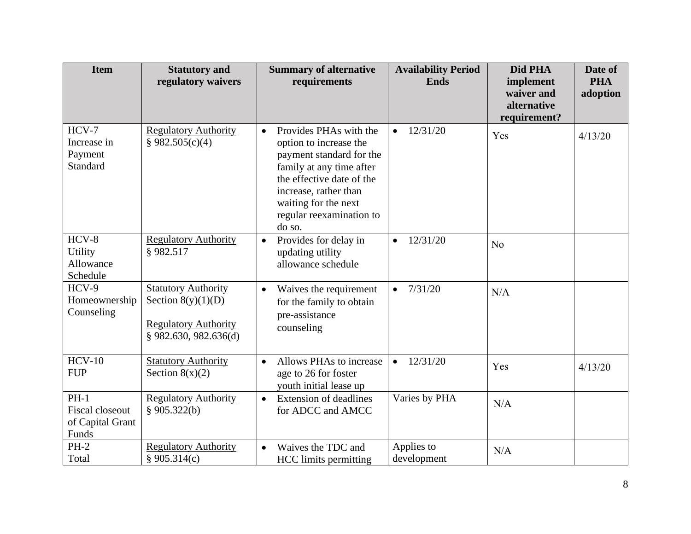| <b>Item</b>                                            | <b>Statutory and</b><br>regulatory waivers                                                                 | <b>Summary of alternative</b><br>requirements                                                                                                                                                                                             | <b>Availability Period</b><br><b>Ends</b> | Did PHA<br>implement<br>waiver and | Date of<br><b>PHA</b><br>adoption |
|--------------------------------------------------------|------------------------------------------------------------------------------------------------------------|-------------------------------------------------------------------------------------------------------------------------------------------------------------------------------------------------------------------------------------------|-------------------------------------------|------------------------------------|-----------------------------------|
|                                                        |                                                                                                            |                                                                                                                                                                                                                                           |                                           | alternative<br>requirement?        |                                   |
| $HCV-7$<br>Increase in<br>Payment<br>Standard          | <b>Regulatory Authority</b><br>§ 982.505(c)(4)                                                             | Provides PHAs with the<br>$\bullet$<br>option to increase the<br>payment standard for the<br>family at any time after<br>the effective date of the<br>increase, rather than<br>waiting for the next<br>regular reexamination to<br>do so. | 12/31/20<br>$\bullet$                     | Yes                                | 4/13/20                           |
| $HCV-8$<br><b>Utility</b><br>Allowance<br>Schedule     | <b>Regulatory Authority</b><br>§982.517                                                                    | Provides for delay in<br>$\bullet$<br>updating utility<br>allowance schedule                                                                                                                                                              | 12/31/20<br>$\bullet$                     | No                                 |                                   |
| $HCV-9$<br>Homeownership<br>Counseling                 | <b>Statutory Authority</b><br>Section $8(y)(1)(D)$<br><b>Regulatory Authority</b><br>\$982.630, 982.636(d) | Waives the requirement<br>$\bullet$<br>for the family to obtain<br>pre-assistance<br>counseling                                                                                                                                           | 7/31/20<br>$\bullet$                      | N/A                                |                                   |
| $HCV-10$<br><b>FUP</b>                                 | <b>Statutory Authority</b><br>Section $8(x)(2)$                                                            | Allows PHAs to increase<br>$\bullet$<br>age to 26 for foster<br>youth initial lease up                                                                                                                                                    | 12/31/20<br>$\bullet$                     | Yes                                | 4/13/20                           |
| $PH-1$<br>Fiscal closeout<br>of Capital Grant<br>Funds | <b>Regulatory Authority</b><br>§ $905.322(b)$                                                              | <b>Extension of deadlines</b><br>$\bullet$<br>for ADCC and AMCC                                                                                                                                                                           | Varies by PHA                             | N/A                                |                                   |
| $PH-2$<br>Total                                        | <b>Regulatory Authority</b><br>§ 905.314(c)                                                                | Waives the TDC and<br>$\bullet$<br><b>HCC</b> limits permitting                                                                                                                                                                           | Applies to<br>development                 | N/A                                |                                   |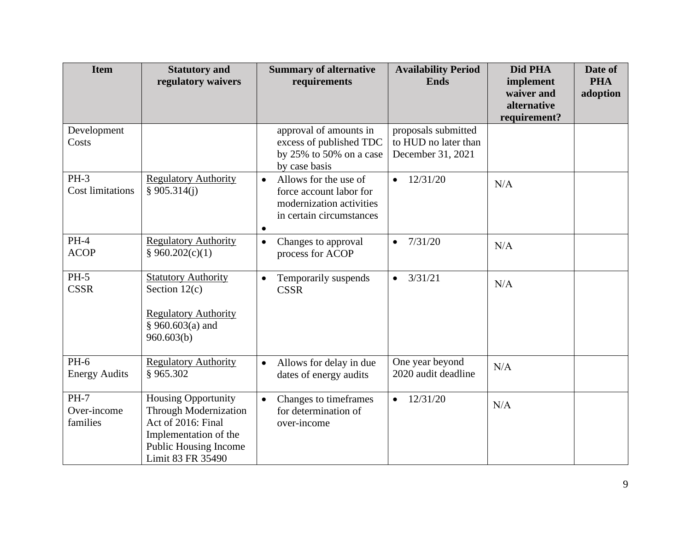| <b>Item</b>                       | <b>Statutory and</b><br>regulatory waivers                                                                                                                     | <b>Summary of alternative</b><br>requirements                                                                                      | <b>Availability Period</b><br><b>Ends</b>                        | Did PHA<br>implement                      | Date of<br><b>PHA</b> |
|-----------------------------------|----------------------------------------------------------------------------------------------------------------------------------------------------------------|------------------------------------------------------------------------------------------------------------------------------------|------------------------------------------------------------------|-------------------------------------------|-----------------------|
|                                   |                                                                                                                                                                |                                                                                                                                    |                                                                  | waiver and<br>alternative<br>requirement? | adoption              |
| Development<br>Costs              |                                                                                                                                                                | approval of amounts in<br>excess of published TDC<br>by $25\%$ to $50\%$ on a case<br>by case basis                                | proposals submitted<br>to HUD no later than<br>December 31, 2021 |                                           |                       |
| $PH-3$<br><b>Cost limitations</b> | <b>Regulatory Authority</b><br>\$905.314(i)                                                                                                                    | Allows for the use of<br>$\bullet$<br>force account labor for<br>modernization activities<br>in certain circumstances<br>$\bullet$ | 12/31/20<br>$\bullet$                                            | N/A                                       |                       |
| $PH-4$<br><b>ACOP</b>             | <b>Regulatory Authority</b><br>§ 960.202(c)(1)                                                                                                                 | Changes to approval<br>$\bullet$<br>process for ACOP                                                                               | 7/31/20<br>$\bullet$                                             | N/A                                       |                       |
| $PH-5$<br><b>CSSR</b>             | <b>Statutory Authority</b><br>Section $12(c)$<br><b>Regulatory Authority</b><br>§ 960.603(a) and<br>960.603(b)                                                 | Temporarily suspends<br>$\bullet$<br><b>CSSR</b>                                                                                   | 3/31/21<br>$\bullet$                                             | N/A                                       |                       |
| $PH-6$<br><b>Energy Audits</b>    | <b>Regulatory Authority</b><br>§965.302                                                                                                                        | Allows for delay in due<br>$\bullet$<br>dates of energy audits                                                                     | One year beyond<br>2020 audit deadline                           | N/A                                       |                       |
| $PH-7$<br>Over-income<br>families | <b>Housing Opportunity</b><br><b>Through Modernization</b><br>Act of 2016: Final<br>Implementation of the<br><b>Public Housing Income</b><br>Limit 83 FR 35490 | Changes to timeframes<br>$\bullet$<br>for determination of<br>over-income                                                          | 12/31/20<br>$\bullet$                                            | N/A                                       |                       |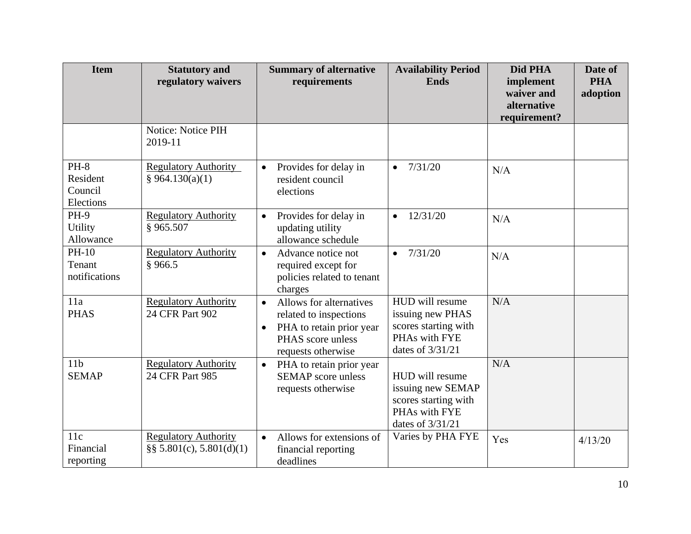| <b>Item</b>                                | <b>Statutory and</b><br>regulatory waivers                  | <b>Summary of alternative</b><br>requirements                                                                                                      | <b>Availability Period</b><br><b>Ends</b>                                                           | Did PHA<br>implement<br>waiver and<br>alternative<br>requirement? | Date of<br><b>PHA</b><br>adoption |
|--------------------------------------------|-------------------------------------------------------------|----------------------------------------------------------------------------------------------------------------------------------------------------|-----------------------------------------------------------------------------------------------------|-------------------------------------------------------------------|-----------------------------------|
|                                            | Notice: Notice PIH<br>2019-11                               |                                                                                                                                                    |                                                                                                     |                                                                   |                                   |
| $PH-8$<br>Resident<br>Council<br>Elections | <b>Regulatory Authority</b><br>§ 964.130(a)(1)              | Provides for delay in<br>$\bullet$<br>resident council<br>elections                                                                                | 7/31/20<br>$\bullet$                                                                                | N/A                                                               |                                   |
| <b>PH-9</b><br>Utility<br>Allowance        | <b>Regulatory Authority</b><br>§965.507                     | Provides for delay in<br>$\bullet$<br>updating utility<br>allowance schedule                                                                       | 12/31/20<br>$\bullet$                                                                               | N/A                                                               |                                   |
| PH-10<br>Tenant<br>notifications           | <b>Regulatory Authority</b><br>§966.5                       | Advance notice not<br>$\bullet$<br>required except for<br>policies related to tenant<br>charges                                                    | 7/31/20<br>$\bullet$                                                                                | N/A                                                               |                                   |
| 11a<br><b>PHAS</b>                         | <b>Regulatory Authority</b><br>24 CFR Part 902              | Allows for alternatives<br>$\bullet$<br>related to inspections<br>PHA to retain prior year<br>$\bullet$<br>PHAS score unless<br>requests otherwise | HUD will resume<br>issuing new PHAS<br>scores starting with<br>PHAs with FYE<br>dates of 3/31/21    | N/A                                                               |                                   |
| 11 <sub>b</sub><br><b>SEMAP</b>            | <b>Regulatory Authority</b><br>24 CFR Part 985              | PHA to retain prior year<br>$\bullet$<br><b>SEMAP</b> score unless<br>requests otherwise                                                           | HUD will resume<br>issuing new SEMAP<br>scores starting with<br>PHAs with FYE<br>dates of $3/31/21$ | N/A                                                               |                                   |
| 11c<br>Financial<br>reporting              | <b>Regulatory Authority</b><br>$\S$ § 5.801(c), 5.801(d)(1) | Allows for extensions of<br>$\bullet$<br>financial reporting<br>deadlines                                                                          | Varies by PHA FYE                                                                                   | Yes                                                               | 4/13/20                           |